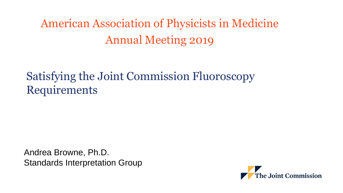American Association of Physicists in Medicine Annual Meeting 2019

#### Satisfying the Joint Commission Fluoroscopy Requirements

Andrea Browne, Ph.D. Standards Interpretation Group

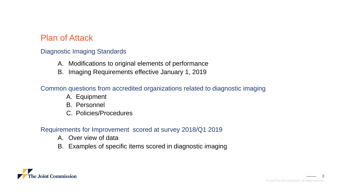#### Plan of Attack

#### Diagnostic Imaging Standards

- A. Modifications to original elements of performance
- B. Imaging Requirements effective January 1, 2019

#### Common questions from accredited organizations related to diagnostic imaging

- A. Equipment
- B. Personnel
- C. Policies/Procedures

#### Requirements for Improvement scored at survey 2018/Q1 2019

- A. Over view of data
- B. Examples of specific items scored in diagnostic imaging

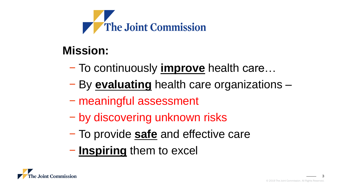

#### **Mission:**

- − To continuously **improve** health care…
- − By **evaluating** health care organizations –
- − meaningful assessment
- − by discovering unknown risks
- − To provide **safe** and effective care
- − **Inspiring** them to excel

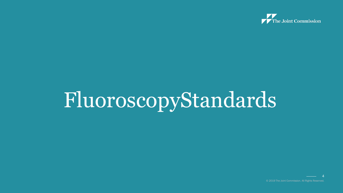

# FluoroscopyStandards

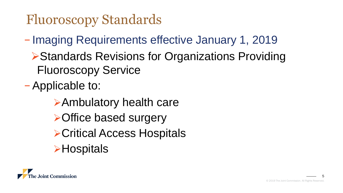## Fluoroscopy Standards

− Imaging Requirements effective January 1, 2019

**▶ Standards Revisions for Organizations Providing** Fluoroscopy Service

− Applicable to:

Ambulatory health care **≻Office based surgery ≻Critical Access Hospitals ≻Hospitals** 

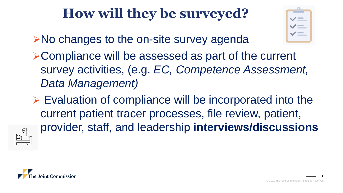## **How will they be surveyed?**

- **≻No changes to the on-site survey agenda**
- Compliance will be assessed as part of the current survey activities, (e.g. *EC, Competence Assessment, Data Management)*
- $\triangleright$  Evaluation of compliance will be incorporated into the current patient tracer processes, file review, patient, provider, staff, and leadership **interviews/discussions**



切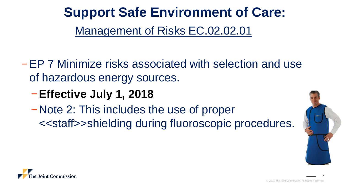**Support Safe Environment of Care:** Management of Risks EC.02.02.01

- − EP 7 Minimize risks associated with selection and use of hazardous energy sources.
	- −**Effective July 1, 2018**
	- −Note 2: This includes the use of proper <<staff>>shielding during fluoroscopic procedures.



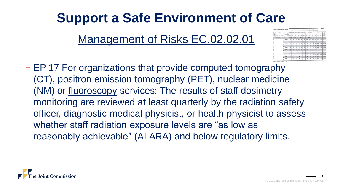## **Support a Safe Environment of Care**

Management of Risks EC.02.02.01

- 
- − EP 17 For organizations that provide computed tomography (CT), positron emission tomography (PET), nuclear medicine (NM) or fluoroscopy services: The results of staff dosimetry monitoring are reviewed at least quarterly by the radiation safety officer, diagnostic medical physicist, or health physicist to assess whether staff radiation exposure levels are "as low as reasonably achievable" (ALARA) and below regulatory limits.

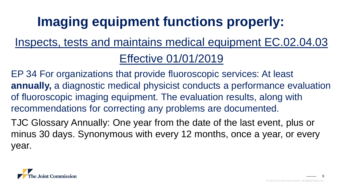## **Imaging equipment functions properly:**

### Inspects, tests and maintains medical equipment EC.02.04.03 Effective 01/01/2019

EP 34 For organizations that provide fluoroscopic services: At least **annually,** a diagnostic medical physicist conducts a performance evaluation of fluoroscopic imaging equipment. The evaluation results, along with recommendations for correcting any problems are documented.

TJC Glossary Annually: One year from the date of the last event, plus or minus 30 days. Synonymous with every 12 months, once a year, or every year.

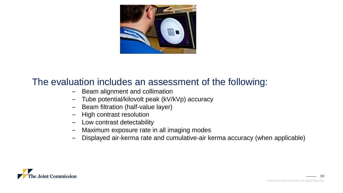

#### The evaluation includes an assessment of the following:

- Beam alignment and collimation
- ‒ Tube potential/kilovolt peak (kV/kVp) accuracy
- Beam filtration (half-value layer)
- ‒ High contrast resolution
- ‒ Low contrast detectability
- ‒ Maximum exposure rate in all imaging modes
- ‒ Displayed air-kerma rate and cumulative-air kerma accuracy (when applicable)

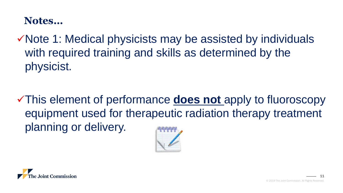#### **Notes…**

Note 1: Medical physicists may be assisted by individuals with required training and skills as determined by the physicist.

This element of performance **does not** apply to fluoroscopy equipment used for therapeutic radiation therapy treatment planning or delivery.



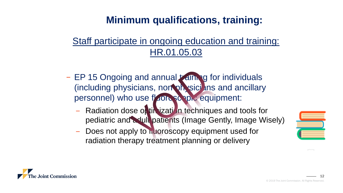#### **Minimum qualifications, training:**

#### Staff participate in ongoing education and training: HR.01.05.03

- − EP 15 Ongoing and annual training for individuals (including physicians, non-physicians and ancillary personnel) who use fluorescopic equipment:
	- Radiation dose on timization techniques and tools for pediatric and adult patients (Image Gently, Image Wisely)
	- Does not apply to huoroscopy equipment used for radiation therapy treatment planning or delivery



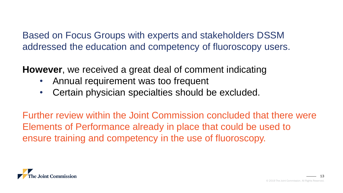Based on Focus Groups with experts and stakeholders DSSM addressed the education and competency of fluoroscopy users.

**However**, we received a great deal of comment indicating

- Annual requirement was too frequent
- Certain physician specialties should be excluded.

Further review within the Joint Commission concluded that there were Elements of Performance already in place that could be used to ensure training and competency in the use of fluoroscopy.

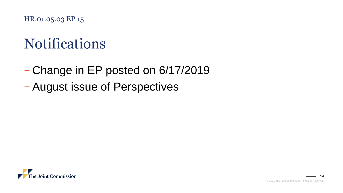HR.01.05.03 EP 15

## Notifications

- − Change in EP posted on 6/17/2019
- − August issue of Perspectives

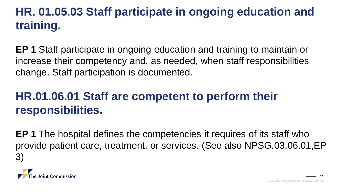#### **HR. 01.05.03 Staff participate in ongoing education and training.**

**EP 1** Staff participate in ongoing education and training to maintain or increase their competency and, as needed, when staff responsibilities change. Staff participation is documented.

#### **HR.01.06.01 Staff are competent to perform their responsibilities.**

**EP 1** The hospital defines the competencies it requires of its staff who provide patient care, treatment, or services. (See also NPSG.03.06.01,EP 3)

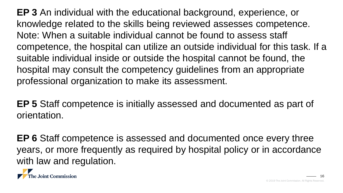**EP 3** An individual with the educational background, experience, or knowledge related to the skills being reviewed assesses competence. Note: When a suitable individual cannot be found to assess staff competence, the hospital can utilize an outside individual for this task. If a suitable individual inside or outside the hospital cannot be found, the hospital may consult the competency guidelines from an appropriate professional organization to make its assessment.

**EP 5** Staff competence is initially assessed and documented as part of orientation.

**EP 6** Staff competence is assessed and documented once every three years, or more frequently as required by hospital policy or in accordance with law and regulation.

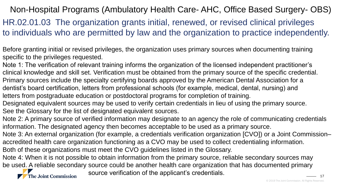#### Non-Hospital Programs (Ambulatory Health Care- AHC, Office Based Surgery- OBS)

HR.02.01.03 The organization grants initial, renewed, or revised clinical privileges to individuals who are permitted by law and the organization to practice independently.

Before granting initial or revised privileges, the organization uses primary sources when documenting training specific to the privileges requested.

Note 1: The verification of relevant training informs the organization of the licensed independent practitioner's clinical knowledge and skill set. Verification must be obtained from the primary source of the specific credential. Primary sources include the specialty certifying boards approved by the American Dental Association for a dentist's board certification, letters from professional schools (for example, medical, dental, nursing) and letters from postgraduate education or postdoctoral programs for completion of training.

Designated equivalent sources may be used to verify certain credentials in lieu of using the primary source. See the Glossary for the list of designated equivalent sources.

Note 2: A primary source of verified information may designate to an agency the role of communicating credentials information. The designated agency then becomes acceptable to be used as a primary source.

Note 3: An external organization (for example, a credentials verification organization [CVO]) or a Joint Commission– accredited health care organization functioning as a CVO may be used to collect credentialing information.

Both of these organizations must meet the CVO guidelines listed in the Glossary.

Note 4: When it is not possible to obtain information from the primary source, reliable secondary sources may be used. A reliable secondary source could be another health care organization that has documented primary

The Joint Commission

source verification of the applicant's credentials.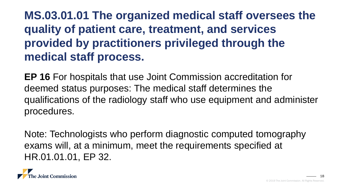#### **MS.03.01.01 The organized medical staff oversees the quality of patient care, treatment, and services provided by practitioners privileged through the medical staff process.**

**EP 16** For hospitals that use Joint Commission accreditation for deemed status purposes: The medical staff determines the qualifications of the radiology staff who use equipment and administer procedures.

Note: Technologists who perform diagnostic computed tomography exams will, at a minimum, meet the requirements specified at HR.01.01.01, EP 32.

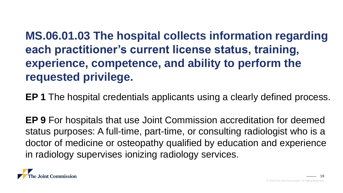**MS.06.01.03 The hospital collects information regarding each practitioner's current license status, training, experience, competence, and ability to perform the requested privilege.**

**EP 1** The hospital credentials applicants using a clearly defined process.

**EP 9** For hospitals that use Joint Commission accreditation for deemed status purposes: A full-time, part-time, or consulting radiologist who is a doctor of medicine or osteopathy qualified by education and experience in radiology supervises ionizing radiology services.

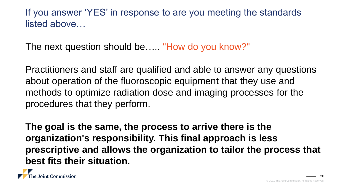If you answer 'YES' in response to are you meeting the standards listed above…

The next question should be….. "How do you know?"

Practitioners and staff are qualified and able to answer any questions about operation of the fluoroscopic equipment that they use and methods to optimize radiation dose and imaging processes for the procedures that they perform.

**The goal is the same, the process to arrive there is the organization's responsibility. This final approach is less prescriptive and allows the organization to tailor the process that best fits their situation.**

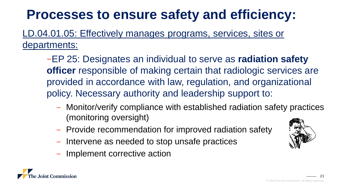#### LD.04.01.05: Effectively manages programs, services, sites or departments:

−EP 25: Designates an individual to serve as **radiation safety officer** responsible of making certain that radiologic services are provided in accordance with law, regulation, and organizational policy. Necessary authority and leadership support to:

- ‒ Monitor/verify compliance with established radiation safety practices (monitoring oversight)
- Provide recommendation for improved radiation safety
- Intervene as needed to stop unsafe practices
- ‒ Implement corrective action

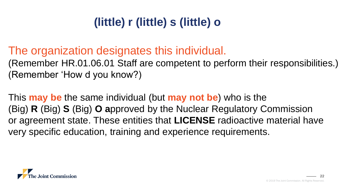#### **(little) r (little) s (little) o**

#### The organization designates this individual.

(Remember HR.01.06.01 Staff are competent to perform their responsibilities.) (Remember 'How d you know?)

This **may be** the same individual (but **may not be**) who is the (Big) **R** (Big) **S** (Big) **O a**pproved by the Nuclear Regulatory Commission or agreement state. These entities that **LICENSE** radioactive material have very specific education, training and experience requirements.

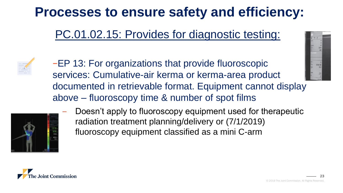#### PC.01.02.15: Provides for diagnostic testing:



−EP 13: For organizations that provide fluoroscopic services: Cumulative-air kerma or kerma-area product documented in retrievable format. Equipment cannot display above – fluoroscopy time & number of spot films





Doesn't apply to fluoroscopy equipment used for therapeutic radiation treatment planning/delivery or (7/1/2019) fluoroscopy equipment classified as a mini C-arm

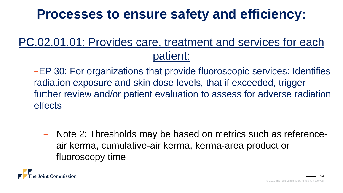#### PC.02.01.01: Provides care, treatment and services for each patient:

−EP 30: For organizations that provide fluoroscopic services: Identifies radiation exposure and skin dose levels, that if exceeded, trigger further review and/or patient evaluation to assess for adverse radiation effects

‒ Note 2: Thresholds may be based on metrics such as referenceair kerma, cumulative-air kerma, kerma-area product or fluoroscopy time

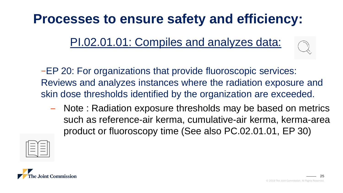PI.02.01.01: Compiles and analyzes data:

−EP 20: For organizations that provide fluoroscopic services: Reviews and analyzes instances where the radiation exposure and skin dose thresholds identified by the organization are exceeded.

- Note: Radiation exposure thresholds may be based on metrics such as reference-air kerma, cumulative-air kerma, kerma-area product or fluoroscopy time (See also PC.02.01.01, EP 30)



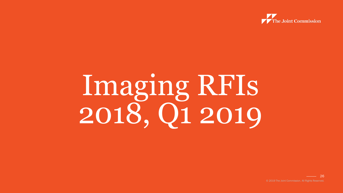

# Imaging RFIs 2018, Q1 2019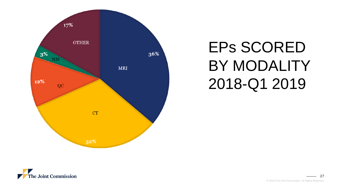

## EPs SCORED BY MODALITY 2018-Q1 2019

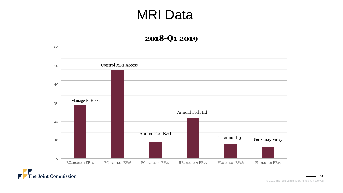#### MRI Data

#### 2018-Q1 2019



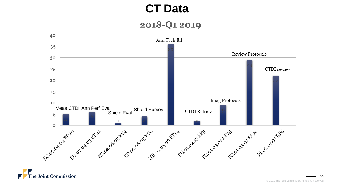#### **CT Data**

#### 2018-Q1 2019



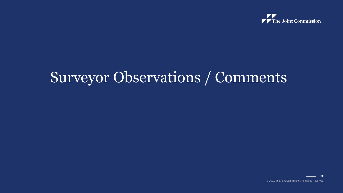

## Surveyor Observations / Comments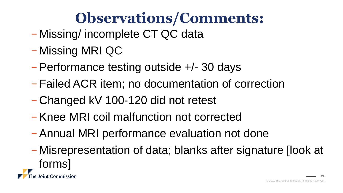## **Observations/Comments:**

- − Missing/ incomplete CT QC data
- − Missing MRI QC
- − Performance testing outside +/- 30 days
- − Failed ACR item; no documentation of correction
- − Changed kV 100-120 did not retest
- − Knee MRI coil malfunction not corrected
- − Annual MRI performance evaluation not done
- − Misrepresentation of data; blanks after signature [look at forms]**Joint Commission** 31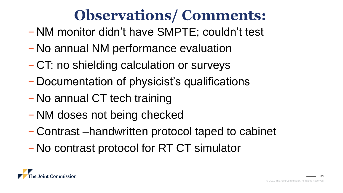## **Observations/ Comments:**

- − NM monitor didn't have SMPTE; couldn't test
- − No annual NM performance evaluation
- − CT: no shielding calculation or surveys
- − Documentation of physicist's qualifications
- − No annual CT tech training
- − NM doses not being checked
- − Contrast –handwritten protocol taped to cabinet
- − No contrast protocol for RT CT simulator

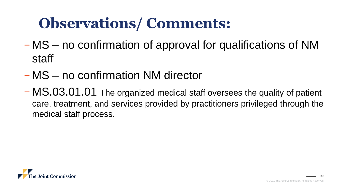## **Observations/ Comments:**

- − MS no confirmation of approval for qualifications of NM staff
- − MS no confirmation NM director
- − MS.03.01.01 The organized medical staff oversees the quality of patient care, treatment, and services provided by practitioners privileged through the medical staff process.

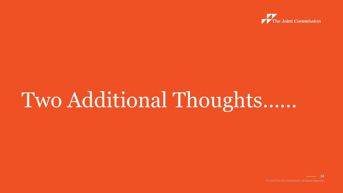

## Two Additional Thoughts……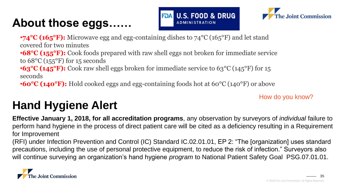#### **About those eggs……**





•**74<sup>°</sup>C (165<sup>°</sup>F):** Microwave egg and egg-containing dishes to 74<sup>°</sup>C (165<sup>°</sup>F) and let stand covered for two minutes •**68°C (155°F):** Cook foods prepared with raw shell eggs not broken for immediate service to 68°C (155°F) for 15 seconds

•**63<sup>°</sup>C (145<sup>°</sup>F):** Cook raw shell eggs broken for immediate service to 63<sup>°</sup>C (145<sup>°</sup>F) for 15 seconds

•**60°C (140°F):** Hold cooked eggs and egg-containing foods hot at 60°C (140°F) or above

How do you know?

#### **Hand Hygiene Alert**

**Effective January 1, 2018, for all accreditation programs**, any observation by surveyors of *individual* failure to perform hand hygiene in the process of direct patient care will be cited as a deficiency resulting in a Requirement for Improvement

(RFI) under Infection Prevention and Control (IC) Standard IC.02.01.01, EP 2: "The [organization] uses standard precautions, including the use of personal protective equipment, to reduce the risk of infection." Surveyors also will continue surveying an organization's hand hygiene *program* to National Patient Safety Goal PSG.07.01.01.

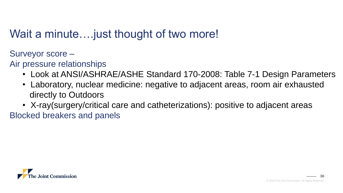#### Wait a minute.... just thought of two more!

Surveyor score –

- Air pressure relationships
	- Look at ANSI/ASHRAE/ASHE Standard 170-2008: Table 7-1 Design Parameters
	- Laboratory, nuclear medicine: negative to adjacent areas, room air exhausted directly to Outdoors
- X-ray(surgery/critical care and catheterizations): positive to adjacent areas Blocked breakers and panels

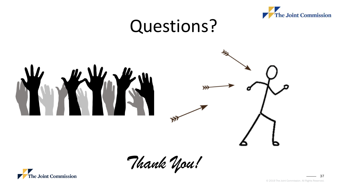

## Questions?